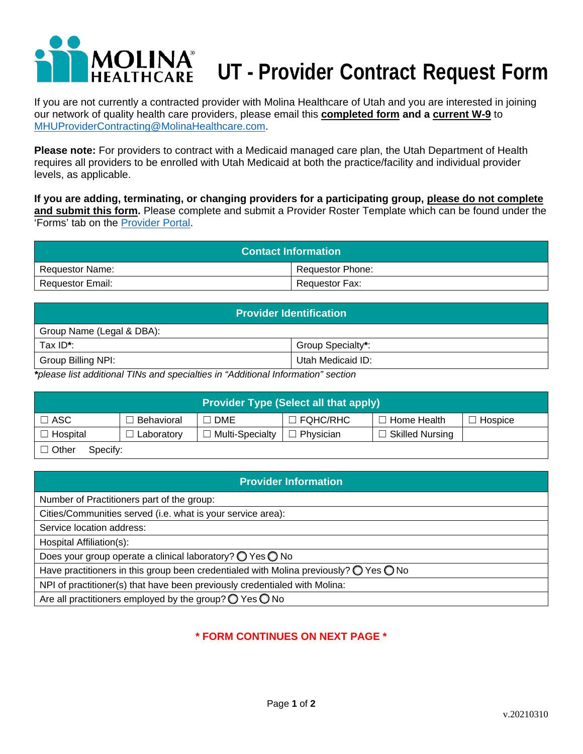# DLINA **UT - Provider Contract Request Form**

If you are not currently a contracted provider with Molina Healthcare of Utah and you are interested in joining our network of quality health care providers, please email this **completed form and a current W-9** to [MHUProviderContracting@MolinaHealthcare.com.](mailto:MHUProviderContracting@MolinaHealthcare.com)

**Please note:** For providers to contract with a Medicaid managed care plan, the Utah Department of Health requires all providers to be enrolled with Utah Medicaid at both the practice/facility and individual provider levels, as applicable.

**If you are adding, terminating, or changing providers for a participating group, please do not complete and submit this form.** Please complete and submit a Provider Roster Template which can be found under the 'Forms' tab on the [Provider Portal.](https://provider.molinahealthcare.com/)

| <b>Contact Information</b> |                         |  |  |
|----------------------------|-------------------------|--|--|
| Requestor Name:            | <b>Requestor Phone:</b> |  |  |
| <b>Requestor Email:</b>    | Requestor Fax:          |  |  |

| <b>Provider Identification</b>                                                  |                   |  |  |  |
|---------------------------------------------------------------------------------|-------------------|--|--|--|
| Group Name (Legal & DBA):                                                       |                   |  |  |  |
| Tax ID*:                                                                        | Group Specialty*: |  |  |  |
| Group Billing NPI:                                                              | Utah Medicaid ID: |  |  |  |
| talence list additional TINs and encojalties in "Additional Information" socian |                   |  |  |  |

*\*please list additional TINs and specialties in "Additional Information" section*

| <b>Provider Type (Select all that apply)</b> |            |                   |                 |                        |         |  |
|----------------------------------------------|------------|-------------------|-----------------|------------------------|---------|--|
| $\Box$ ASC                                   | Behavioral | <b>DME</b>        | $\Box$ FQHC/RHC | ∃ Home Health_         | Hospice |  |
| $\Box$ Hospital                              | Laboratory | l Multi-Specialty | Physician<br>П  | <b>Skilled Nursing</b> |         |  |
| $\Box$ Other<br>Specify:                     |            |                   |                 |                        |         |  |

| <b>Provider Information</b>                                                                             |  |  |  |  |  |
|---------------------------------------------------------------------------------------------------------|--|--|--|--|--|
| Number of Practitioners part of the group:                                                              |  |  |  |  |  |
| Cities/Communities served (i.e. what is your service area):                                             |  |  |  |  |  |
| Service location address:                                                                               |  |  |  |  |  |
| Hospital Affiliation(s):                                                                                |  |  |  |  |  |
| Does your group operate a clinical laboratory? $\bigcirc$ Yes $\bigcirc$ No                             |  |  |  |  |  |
| Have practitioners in this group been credentialed with Molina previously? $\bigcirc$ Yes $\bigcirc$ No |  |  |  |  |  |
| NPI of practitioner(s) that have been previously credentialed with Molina:                              |  |  |  |  |  |
| Are all practitioners employed by the group? $\bigcirc$ Yes $\bigcirc$ No                               |  |  |  |  |  |

## **\* FORM CONTINUES ON NEXT PAGE \***